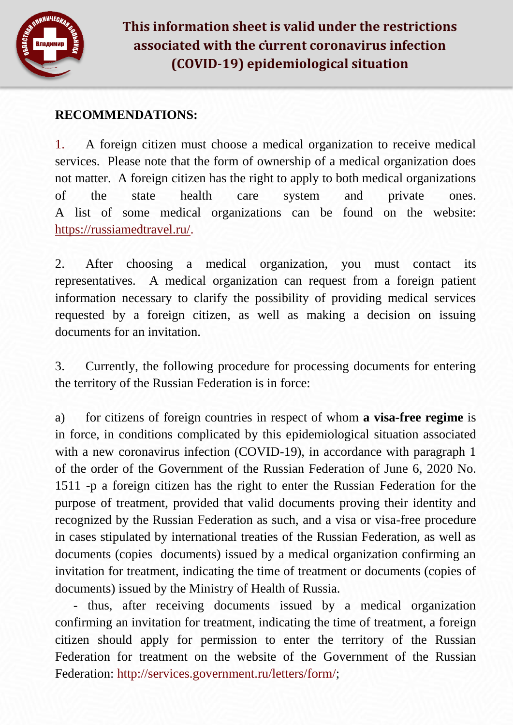

## **RECOMMENDATIONS:**

1. A foreign citizen must choose a medical organization to receive medical services. Please note that the form of ownership of a medical organization does not matter. A foreign citizen has the right to apply to both medical organizations of the state health care system and private ones. A list of some medical organizations can be found on the website: [https://russiamedtravel.ru/.](https://russiamedtravel.ru/)

2. After choosing a medical organization, you must contact its representatives. A medical organization can request from a foreign patient information necessary to clarify the possibility of providing medical services requested by a foreign citizen, as well as making a decision on issuing documents for an invitation.

3. Currently, the following procedure for processing documents for entering the territory of the Russian Federation is in force:

a) for citizens of foreign countries in respect of whom **a visa-free regime** is in force, in conditions complicated by this epidemiological situation associated with a new coronavirus infection (COVID-19), in accordance with paragraph 1 of the order of the Government of the Russian Federation of June 6, 2020 No. 1511 -p a foreign citizen has the right to enter the Russian Federation for the purpose of treatment, provided that valid documents proving their identity and recognized by the Russian Federation as such, and a visa or visa-free procedure in cases stipulated by international treaties of the Russian Federation, as well as documents (copies documents) issued by a medical organization confirming an invitation for treatment, indicating the time of treatment or documents (copies of documents) issued by the Ministry of Health of Russia.

- thus, after receiving documents issued by a medical organization confirming an invitation for treatment, indicating the time of treatment, a foreign citizen should apply for permission to enter the territory of the Russian Federation for treatment on the website of the Government of the Russian Federation: [http://services.government.ru/letters/form/;](http://services.government.ru/letters/form/)